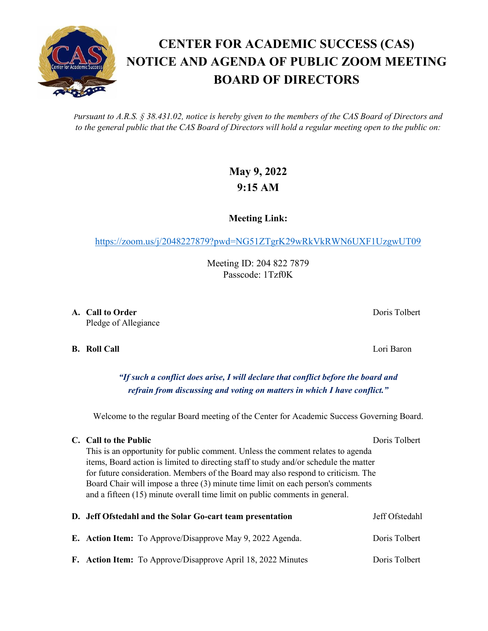*Pursuant to A.R.S. § 38.431.02, notice is hereby given to the members of the CAS Board of Directors and to the general public that the CAS Board of Directors will hold a regular meeting open to the public on:*

## **May 9, 2022 9:15 AM**

**Meeting Link:**

<https://zoom.us/j/2048227879?pwd=NG51ZTgrK29wRkVkRWN6UXF1UzgwUT09>

Meeting ID: 204 822 7879 Passcode: 1Tzf0K

**A. Call to Order** Doris Tolbert **Domain Community** Doris Tolbert **Doris Tolbert** Pledge of Allegiance

**B. Roll Call** Lori Baron

*"If such a conflict does arise, I will declare that conflict before the board and refrain from discussing and voting on matters in which I have conflict."*

Welcome to the regular Board meeting of the Center for Academic Success Governing Board.

## **C. Call to the Public** Doris Tolbert Doris Tolbert

This is an opportunity for public comment. Unless the comment relates to agenda items, Board action is limited to directing staff to study and/or schedule the matter for future consideration. Members of the Board may also respond to criticism. The Board Chair will impose a three (3) minute time limit on each person's comments and a fifteen (15) minute overall time limit on public comments in general.

|  | D. Jeff Ofstedahl and the Solar Go-cart team presentation        | Jeff Ofstedahl |
|--|------------------------------------------------------------------|----------------|
|  | <b>E.</b> Action Item: To Approve/Disapprove May 9, 2022 Agenda. | Doris Tolbert  |
|  | F. Action Item: To Approve/Disapprove April 18, 2022 Minutes     | Doris Tolbert  |

## **CENTER FOR ACADEMIC SUCCESS (CAS) NOTICE AND AGENDA OF PUBLIC ZOOM MEETING BOARD OF DIRECTORS**